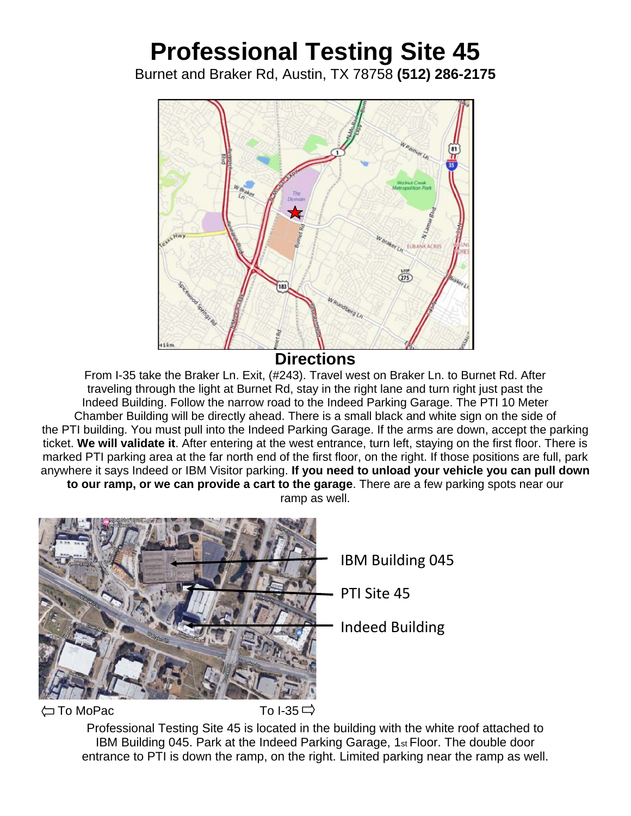## **Professional Testing Site 45**

Burnet and Braker Rd, Austin, TX 78758 **(512) 286-2175**



**Directions** 

From I-35 take the Braker Ln. Exit, (#243). Travel west on Braker Ln. to Burnet Rd. After traveling through the light at Burnet Rd, stay in the right lane and turn right just past the Indeed Building. Follow the narrow road to the Indeed Parking Garage. The PTI 10 Meter Chamber Building will be directly ahead. There is a small black and white sign on the side of the PTI building. You must pull into the Indeed Parking Garage. If the arms are down, accept the parking ticket. **We will validate it**. After entering at the west entrance, turn left, staying on the first floor. There is marked PTI parking area at the far north end of the first floor, on the right. If those positions are full, park anywhere it says Indeed or IBM Visitor parking. **If you need to unload your vehicle you can pull down to our ramp, or we can provide a cart to the garage**. There are a few parking spots near our ramp as well.



 $\left\langle \square \ \textsf{To}\ \textsf{Mo}\ \textsf{Pac} \right. \qquad \qquad \qquad \textsf{To I-35} \ \square$ 

Professional Testing Site 45 is located in the building with the white roof attached to IBM Building 045. Park at the Indeed Parking Garage, 1st Floor. The double door entrance to PTI is down the ramp, on the right. Limited parking near the ramp as well.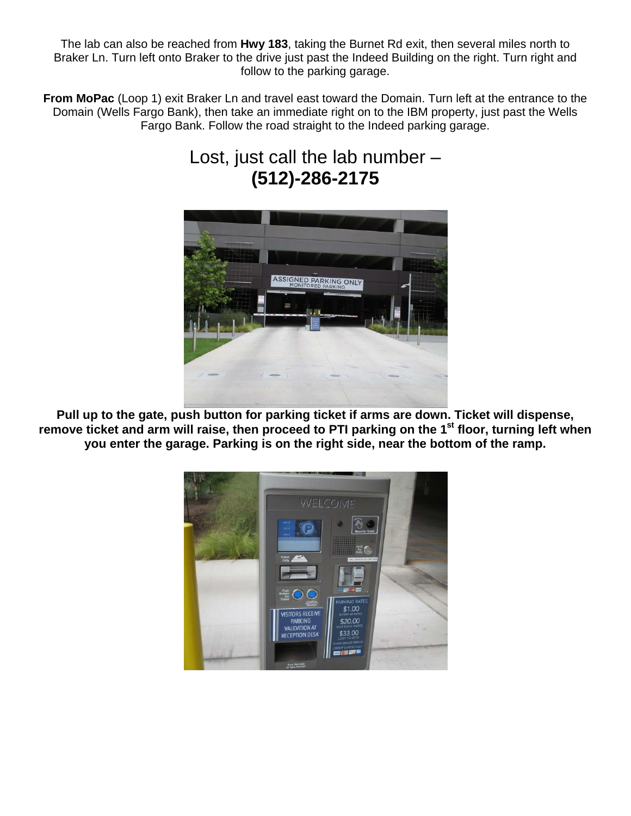The lab can also be reached from **Hwy 183**, taking the Burnet Rd exit, then several miles north to Braker Ln. Turn left onto Braker to the drive just past the Indeed Building on the right. Turn right and follow to the parking garage.

**From MoPac** (Loop 1) exit Braker Ln and travel east toward the Domain. Turn left at the entrance to the Domain (Wells Fargo Bank), then take an immediate right on to the IBM property, just past the Wells Fargo Bank. Follow the road straight to the Indeed parking garage.

## Lost, just call the lab number – **(512)-286-2175**



**Pull up to the gate, push button for parking ticket if arms are down. Ticket will dispense,**  remove ticket and arm will raise, then proceed to PTI parking on the 1<sup>st</sup> floor, turning left when **you enter the garage. Parking is on the right side, near the bottom of the ramp.**